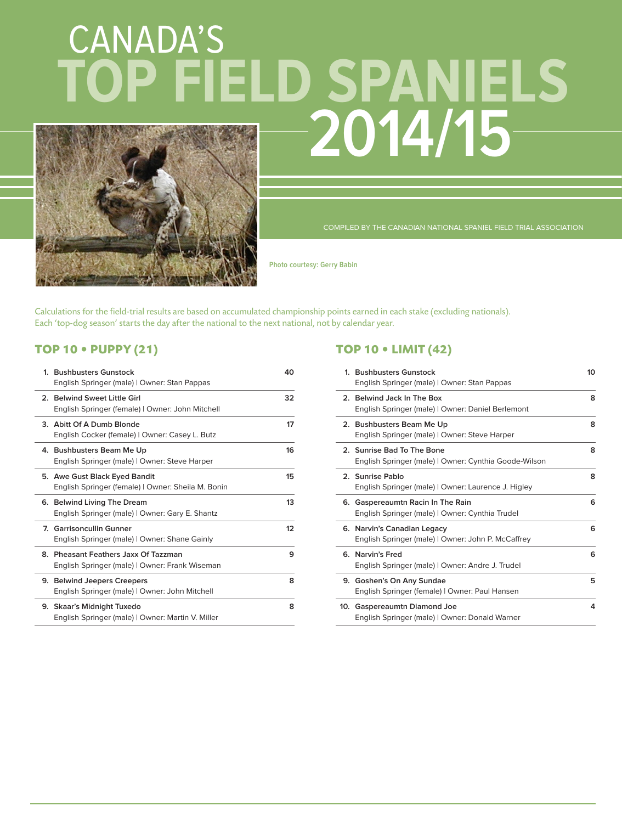# CANADA'S **2014/15 TOP FIELD SPANIELS**



COMPILED BY THE CANADIAN NATIONAL SPANIEL FIELD TRIAL ASSOCIATION

**Photo courtesy: Gerry Babin**

Calculations for the field-trial results are based on accumulated championship points earned in each stake (excluding nationals). Each 'top-dog season' starts the day after the national to the next national, not by calendar year.

#### **TOP 10 • PUPPY (21)**

| 1. Bushbusters Gunstock<br>English Springer (male)   Owner: Stan Pappas                | 40 |
|----------------------------------------------------------------------------------------|----|
| 2. Belwind Sweet Little Girl<br>English Springer (female)   Owner: John Mitchell       | 32 |
| 3. Abitt Of A Dumb Blonde<br>English Cocker (female)   Owner: Casey L. Butz            | 17 |
| 4. Bushbusters Beam Me Up<br>English Springer (male)   Owner: Steve Harper             | 16 |
| 5. Awe Gust Black Eyed Bandit<br>English Springer (female)   Owner: Sheila M. Bonin    | 15 |
| 6. Belwind Living The Dream<br>English Springer (male)   Owner: Gary E. Shantz         | 13 |
| 7. Garrisoncullin Gunner<br>English Springer (male)   Owner: Shane Gainly              | 12 |
| 8. Pheasant Feathers Jaxx Of Tazzman<br>English Springer (male)   Owner: Frank Wiseman | 9  |
| 9. Belwind Jeepers Creepers<br>English Springer (male)   Owner: John Mitchell          | 8  |
| 9. Skaar's Midnight Tuxedo<br>English Springer (male)   Owner: Martin V. Miller        | 8  |

#### **TOP 10 • LIMIT (42)**

| 1. Bushbusters Gunstock<br>English Springer (male)   Owner: Stan Pappas              | 10             |
|--------------------------------------------------------------------------------------|----------------|
| 2. Belwind Jack In The Box<br>English Springer (male)   Owner: Daniel Berlemont      | 8              |
| 2. Bushbusters Beam Me Up<br>English Springer (male)   Owner: Steve Harper           | 8              |
| 2. Sunrise Bad To The Bone<br>English Springer (male)   Owner: Cynthia Goode-Wilson  | 8              |
| 2. Sunrise Pablo<br>English Springer (male)   Owner: Laurence J. Higley              | 8              |
| 6. Gaspereaumtn Racin In The Rain<br>English Springer (male)   Owner: Cynthia Trudel | 6              |
| 6. Narvin's Canadian Legacy<br>English Springer (male)   Owner: John P. McCaffrey    | 6              |
| 6. Narvin's Fred<br>English Springer (male)   Owner: Andre J. Trudel                 | 6              |
| 9. Goshen's On Any Sundae<br>English Springer (female)   Owner: Paul Hansen          | 5              |
| 10. Gaspereaumtn Diamond Joe<br>English Springer (male)   Owner: Donald Warner       | $\overline{a}$ |